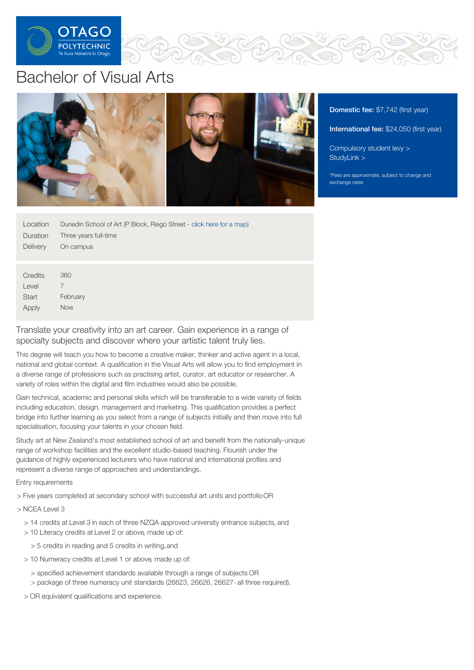

# Bachelor of Visual Arts



Domestic fee: \$7,742 (first year)

International fee: \$24,050 (first year)

[Compulsory](https://online.op.ac.nz/students/important-information/student-services-levy/) student levy >

\*Fees are approximate, subject to change and

| Location         | Dunedin School of Art (P Block, Riego Street - click here for a map) |
|------------------|----------------------------------------------------------------------|
| Duration         | Three years full-time                                                |
| <b>Delivery</b>  | On campus                                                            |
|                  |                                                                      |
| Credits<br>Level | 360<br>7                                                             |
| <b>Start</b>     | February                                                             |
| Apply            | <b>Now</b>                                                           |

Translate your creativity into an art career. Gain experience in a range of specialty subjects and discover where your artistic talent truly lies.

This degree will teach you how to become a creative maker, thinker and active agent in a local, national and global context. A qualification in the Visual Arts will allow you to find employment in a diverse range of professions such as practising artist, curator, art educator or researcher. A variety of roles within the digital and film industries would also be possible.

Gain technical, academic and personal skills which will be transferable to a wide variety of fields including education, design, management and marketing. This qualification provides a perfect bridge into further learning as you select from a range of subjects initially and then move into full specialisation, focusing your talents in your chosen field.

Study art at New Zealand's most established school of art and benefit from the nationally-unique range of workshop facilities and the excellent studio-based teaching. Flourish under the guidance of highly experienced lecturers who have national and international profiles and represent a diverse range of approaches and understandings.

Entry requirements

> Five years completed at secondary school with successful art units and portfolioOR

> NCEA Level 3

- > 14 credits at Level 3 in each of three NZQA approved university entrance subjects, and
- > 10 Literacy credits at Level 2 or above, made up of:
	- > 5 credits in reading and 5 credits in writing,and
- > 10 Numeracy credits at Level 1 or above, made up of:
	- > specified achievement standards available through a range of subjects OR
	- > package of three numeracy unit standards (26623, 26626, 26627- all three required).
- > OR equivalent qualifications and experience.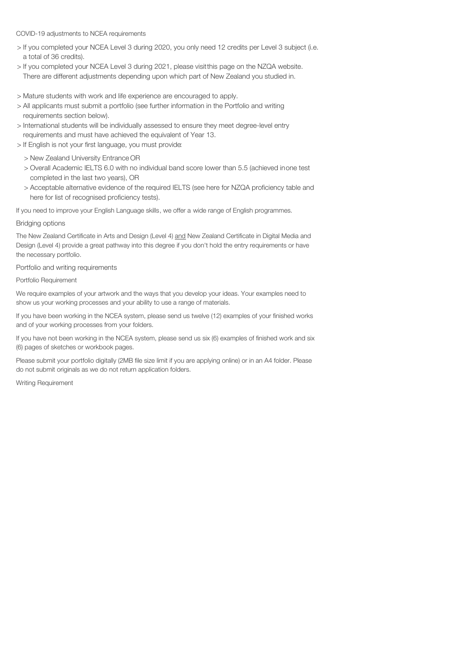## COVID-19 adjustments to NCEA requirements

- > If you completed your NCEA Level 3 during 2020, you only need 12 credits per Level 3 subject (i.e. a total of 36 credits).
- > If you completed your NCEA Level 3 during 2021, please visitthis page on the NZQA website. There are different adjustments depending upon which part of New Zealand you studied in.
- > Mature students with work and life experience are encouraged to apply.
- > All applicants must submit a portfolio (see further information in the Portfolio and writing requirements section below).
- > International students will be individually assessed to ensure they meet degree-level entry requirements and must have achieved the equivalent of Year 13.
- > If English is not your first language, you must provide:
	- > New Zealand University Entrance OR
	- > Overall Academic IELTS 6.0 with no individual band score lower than 5.5 (achieved inone test completed in the last two years), OR
	- > Acceptable alternative evidence of the required IELTS (see here for NZQA proficiency table and here for list of recognised proficiency tests).

If you need to improve your English Language skills, we offer a wide range of English programmes.

# Bridging options

The New Zealand Certificate in Arts and Design (Level 4) and New Zealand Certificate in Digital Media and Design (Level 4) provide a great pathway into this degree if you don't hold the entry requirements or have the necessary portfolio.

Portfolio and writing requirements

Portfolio Requirement

We require examples of your artwork and the ways that you develop your ideas. Your examples need to show us your working processes and your ability to use a range of materials.

If you have been working in the NCEA system, please send us twelve (12) examples of your finished works and of your working processes from your folders.

If you have not been working in the NCEA system, please send us six (6) examples of finished work and six (6) pages of sketches or workbook pages.

Please submit your portfolio digitally (2MB file size limit if you are applying online) or in an A4 folder. Please do not submit originals as we do not return application folders.

Writing Requirement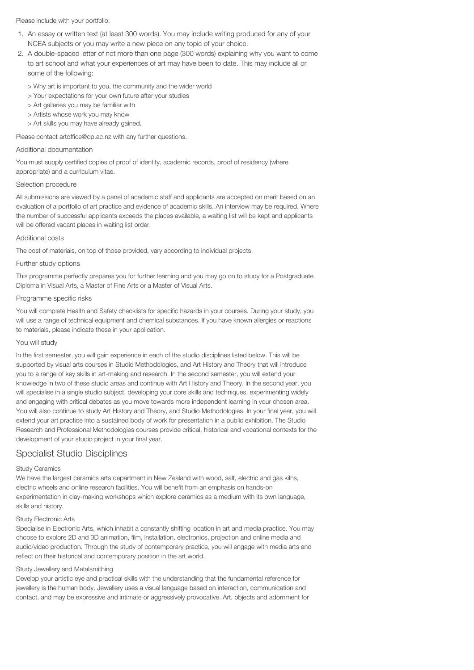Please include with your portfolio:

- 1. An essay or written text (at least 300 words). You may include writing produced for any of your NCEA subjects or you may write a new piece on any topic of your choice.
- 2. A double-spaced letter of not more than one page (300 words) explaining why you want to come to art school and what your experiences of art may have been to date. This may include all or some of the following:
	- > Why art is important to you, the community and the wider world
	- > Your expectations for your own future after your studies
	- > Art galleries you may be familiar with
	- > Artists whose work you may know
	- > Art skills you may have already gained.

Please contact artoffice@op.ac.nz with any further questions.

#### Additional documentation

You must supply certified copies of proof of identity, academic records, proof of residency (where appropriate) and a curriculum vitae.

#### Selection procedure

All submissions are viewed by a panel of academic staff and applicants are accepted on merit based on an evaluation of a portfolio of art practice and evidence of academic skills. An interview may be required. Where the number of successful applicants exceeds the places available, a waiting list will be kept and applicants will be offered vacant places in waiting list order.

#### Additional costs

The cost of materials, on top of those provided, vary according to individual projects.

#### Further study options

This programme perfectly prepares you for further learning and you may go on to study for a Postgraduate Diploma in Visual Arts, a Master of Fine Arts or a Master of Visual Arts.

#### Programme specific risks

You will complete Health and Safety checklists for specific hazards in your courses. During your study, you will use a range of technical equipment and chemical substances. If you have known allergies or reactions to materials, please indicate these in your application.

## You will study

In the first semester, you will gain experience in each of the studio disciplines listed below. This will be supported by visual arts courses in Studio Methodologies, and Art History and Theory that will introduce you to a range of key skills in art-making and research. In the second semester, you will extend your knowledge in two of these studio areas and continue with Art History and Theory. In the second year, you will specialise in a single studio subject, developing your core skills and techniques, experimenting widely and engaging with critical debates as you move towards more independent learning in your chosen area. You will also continue to study Art History and Theory, and Studio Methodologies. In your final year, you will extend your art practice into a sustained body of work for presentation in a public exhibition. The Studio Research and Professional Methodologies courses provide critical, historical and vocational contexts for the development of your studio project in your final year.

# Specialist Studio Disciplines

#### Study Ceramics

We have the largest ceramics arts department in New Zealand with wood, salt, electric and gas kilns, electric wheels and online research facilities. You will benefit from an emphasis on hands-on experimentation in clay-making workshops which explore ceramics as a medium with its own language, skills and history.

## Study Electronic Arts

Specialise in Electronic Arts, which inhabit a constantly shifting location in art and media practice. You may choose to explore 2D and 3D animation, film, installation, electronics, projection and online media and audio/video production. Through the study of contemporary practice, you will engage with media arts and reflect on their historical and contemporary position in the art world.

#### Study Jewellery and Metalsmithing

Develop your artistic eye and practical skills with the understanding that the fundamental reference for jewellery is the human body. Jewellery uses a visual language based on interaction, communication and contact, and may be expressive and intimate or aggressively provocative. Art, objects and adornment for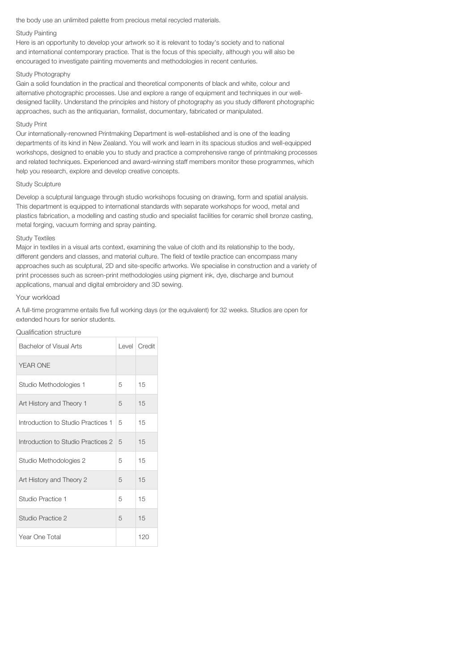the body use an unlimited palette from precious metal recycled materials.

#### Study Painting

Here is an opportunity to develop your artwork so it is relevant to today's society and to national and international contemporary practice. That is the focus of this specialty, although you will also be encouraged to investigate painting movements and methodologies in recent centuries.

#### Study Photography

Gain a solid foundation in the practical and theoretical components of black and white, colour and alternative photographic processes. Use and explore a range of equipment and techniques in our welldesigned facility. Understand the principles and history of photography as you study different photographic approaches, such as the antiquarian, formalist, documentary, fabricated or manipulated.

#### Study Print

Our internationally-renowned Printmaking Department is well-established and is one of the leading departments of its kind in New Zealand. You will work and learn in its spacious studios and well-equipped workshops, designed to enable you to study and practice a comprehensive range of printmaking processes and related techniques. Experienced and award-winning staff members monitor these programmes, which help you research, explore and develop creative concepts.

#### Study Sculpture

Develop a sculptural language through studio workshops focusing on drawing, form and spatial analysis. This department is equipped to international standards with separate workshops for wood, metal and plastics fabrication, a modelling and casting studio and specialist facilities for ceramic shell bronze casting, metal forging, vacuum forming and spray painting.

#### Study Textiles

Major in textiles in a visual arts context, examining the value of cloth and its relationship to the body, different genders and classes, and material culture. The field of textile practice can encompass many approaches such as sculptural, 2D and site-specific artworks. We specialise in construction and a variety of print processes such as screen-print methodologies using pigment ink, dye, discharge and burnout applications, manual and digital embroidery and 3D sewing.

#### Your workload

A full-time programme entails five full working days (or the equivalent) for 32 weeks. Studios are open for extended hours for senior students.

#### Qualification structure

| Bachelor of Visual Arts            |   | Level   Credit |
|------------------------------------|---|----------------|
| <b>YEAR ONE</b>                    |   |                |
| Studio Methodologies 1             | 5 | 15             |
| Art History and Theory 1           | 5 | 15             |
| Introduction to Studio Practices 1 | 5 | 15             |
| Introduction to Studio Practices 2 | 5 | 15             |
| Studio Methodologies 2             | 5 | 15             |
| Art History and Theory 2           | 5 | 15             |
| Studio Practice 1                  | 5 | 15             |
| Studio Practice 2                  | 5 | 15             |
| Year One Total                     |   | 120            |